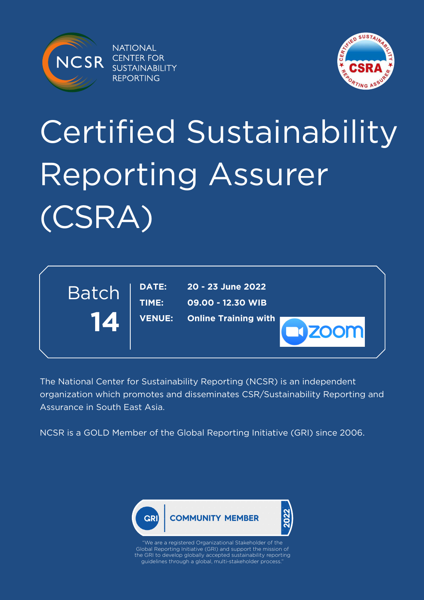

**NATIONAL CENTER FOR SUSTAINABILITY REPORTING** 



# Certified Sustainability Reporting Assurer (CSRA)



The National Center for Sustainability Reporting (NCSR) is an independent organization which promotes and disseminates CSR/Sustainability Reporting and Assurance in South East Asia.

NCSR is a GOLD Member of the Global Reporting Initiative (GRI) since 2006.

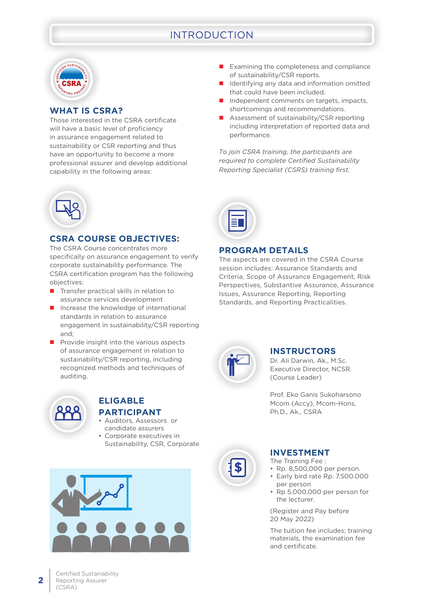## INTRODUCTION



#### **WHAT IS CSRA?**

Those interested in the CSRA certificate will have a basic level of proficiency in assurance engagement related to sustainability or CSR reporting and thus have an opportunity to become a more professional assurer and develop additional capability in the following areas:

- $\blacksquare$  Examining the completeness and compliance of sustainability/CSR reports.
- Identifying any data and information omitted that could have been included.
- $\blacksquare$  Independent comments on targets, impacts, shortcomings and recommendations.
- Assessment of sustainability/CSR reporting including interpretation of reported data and performance.

*To join CSRA training, the participants are required to complete Certified Sustainability Reporting Specialist (CSRS) training first.*



#### **CSRA COURSE OBJECTIVES:**

The CSRA Course concentrates more specifically on assurance engagement to verify corporate sustainability performance. The CSRA certification program has the following objectives:

- $\blacksquare$  Transfer practical skills in relation to assurance services development
- $\blacksquare$  Increase the knowledge of international standards in relation to assurance engagement in sustainability/CSR reporting and;
- $\blacksquare$  Provide insight into the various aspects of assurance engagement in relation to sustainability/CSR reporting, including recognized methods and techniques of auditing.



#### **ELIGABLE PARTICIPANT**

- Auditors, Assessors or
- candidate assurers Corporate executives in
- Sustainability, CSR, Corporate



#### **PROGRAM DETAILS**

The aspects are covered in the CSRA Course session includes: Assurance Standards and Criteria, Scope of Assurance Engagement, Risk Perspectives, Substantive Assurance, Assurance Issues, Assurance Reporting, Reporting Standards, and Reporting Practicalities.



#### **INSTRUCTORS**

Dr. Ali Darwin, Ak., M.Sc. Executive Director, NCSR. (Course Leader)

Prof. Eko Ganis Sukoharsono Mcom (Accy), Mcom-Hons, Ph.D., Ak., CSRA



#### **INVESTMENT**

The Training Fee :

- • Rp. 8,500,000 per person.
- Early bird rate Rp. 7.500.000 per person
- Rp 5,000,000 per person for the lecturer.

(Register and Pay before 20 May 2022)

The tuition fee includes; training materials, the examination fee and certificate.

**2**